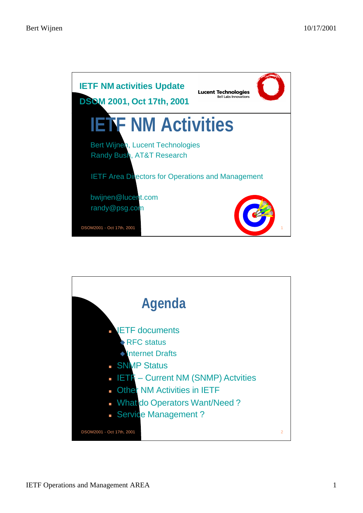

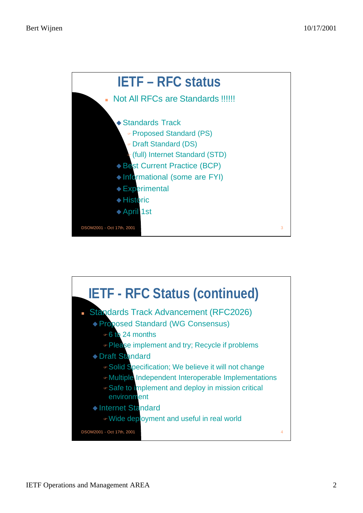

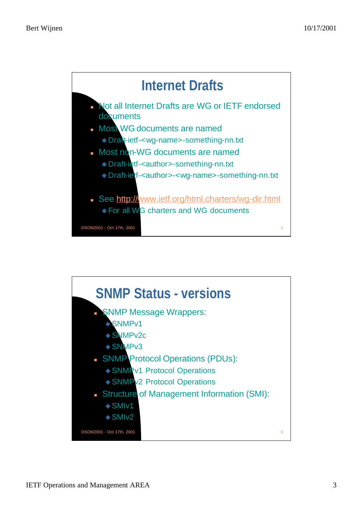

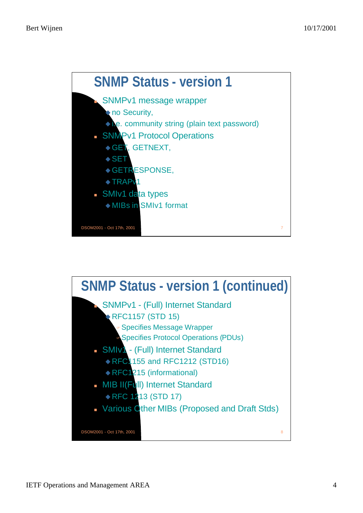

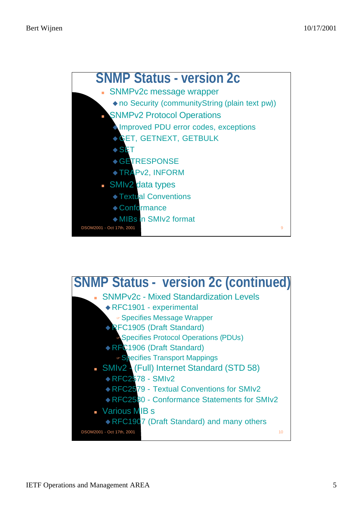

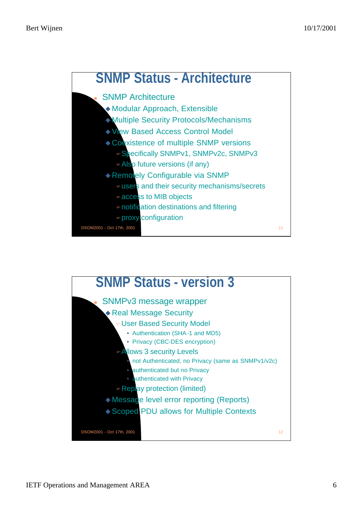

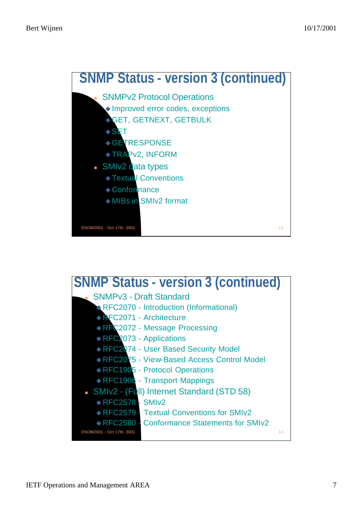

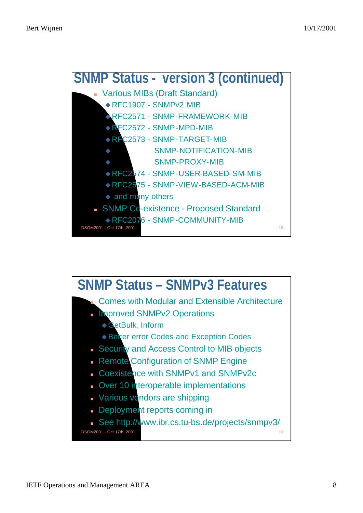

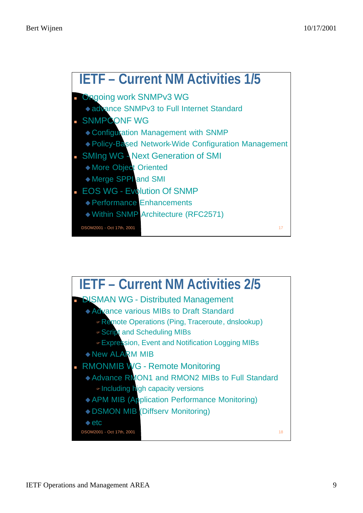

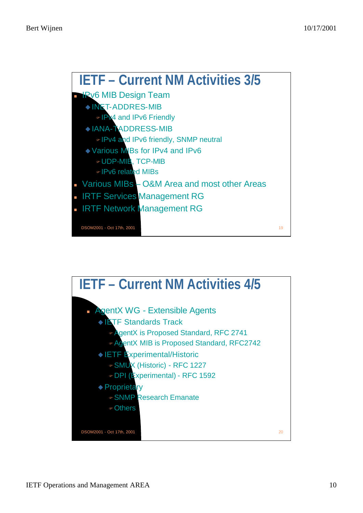

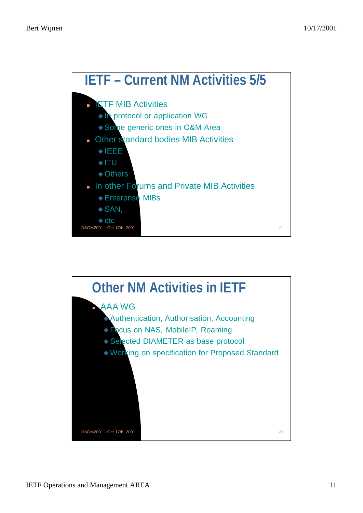

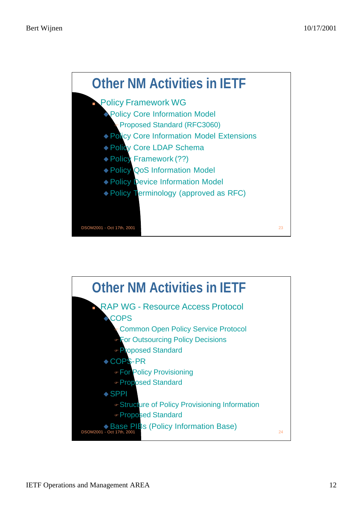

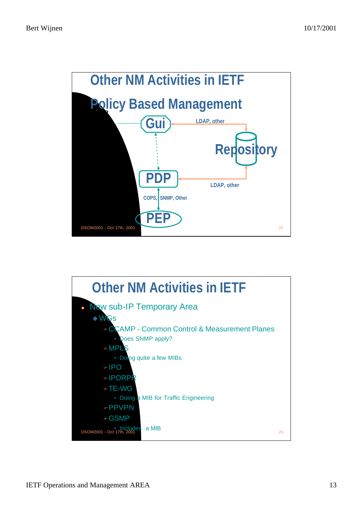

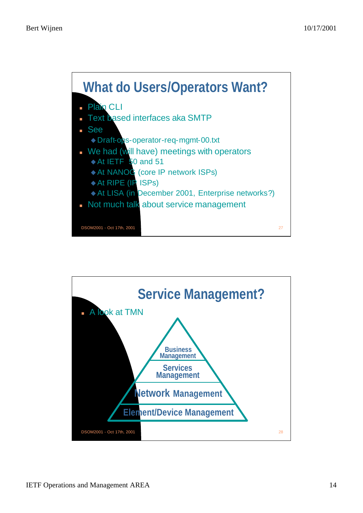

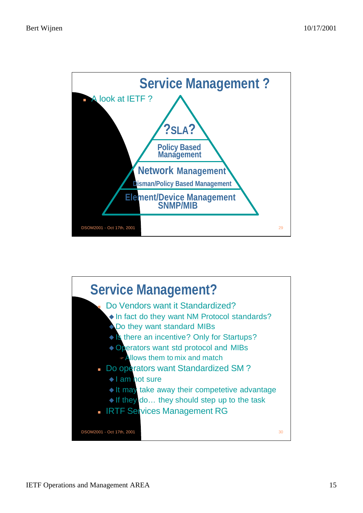